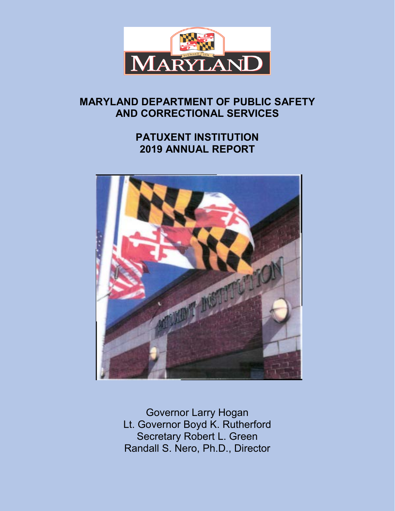

# **MARYLAND DEPARTMENT OF PUBLIC SAFETY AND CORRECTIONAL SERVICES**

# **PATUXENT INSTITUTION 2019 ANNUAL REPORT**



Governor Larry Hogan Lt. Governor Boyd K. Rutherford Secretary Robert L. Green Randall S. Nero, Ph.D., Director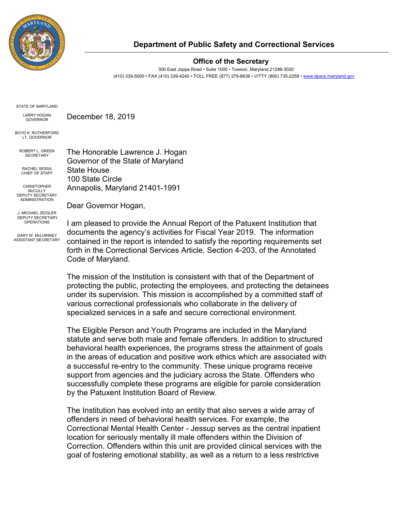

### **Department of Public Safety and Correctional Services**

#### **Office of the Secretary**

300 East Joppa Road • Suite 1000 • Towson, Maryland 21286-3020 (410) 339-5000 • FAX (410) 339-4240 • TOLL FREE (877) 379-8636 • V/TTY (800) 735-2258 [• www.dpscs.maryland.gov](http://www.dpscs.maryland.gov/)

STATE OF MARYLAND

LARRY HOGAN GOVERNOR

BOYD K. RUTHERFORD **LT. GOVERNOR** 

The Honorable Lawrence J. Hogan Governor of the State of Maryland State House 100 State Circle Annapolis, Maryland 21401-1991 ROBERT L. GREEN **SECRETARY** RACHEL SESSA CHIEF OF STAFF CHRISTOPHER **McCULLY** DEPUTY SECRETARY

December 18, 2019

Dear Governor Hogan,

GARY W. McLHINNEY ASSISTANT SECRETARY

ADMINISTRATION

J. MICHAEL ZEIGLER DEPUTY SECRETARY OPERATIONS I am pleased to provide the Annual Report of the Patuxent Institution that documents the agency's activities for Fiscal Year 2019. The information contained in the report is intended to satisfy the reporting requirements set forth in the Correctional Services Article, Section 4-203, of the Annotated Code of Maryland.

The mission of the Institution is consistent with that of the Department of protecting the public, protecting the employees, and protecting the detainees under its supervision. This mission is accomplished by a committed staff of various correctional professionals who collaborate in the delivery of specialized services in a safe and secure correctional environment.

The Eligible Person and Youth Programs are included in the Maryland statute and serve both male and female offenders. In addition to structured behavioral health experiences, the programs stress the attainment of goals in the areas of education and positive work ethics which are associated with a successful re-entry to the community. These unique programs receive support from agencies and the judiciary across the State. Offenders who successfully complete these programs are eligible for parole consideration by the Patuxent Institution Board of Review.

The Institution has evolved into an entity that also serves a wide array of offenders in need of behavioral health services. For example, the Correctional Mental Health Center - Jessup serves as the central inpatient location for seriously mentally ill male offenders within the Division of Correction. Offenders within this unit are provided clinical services with the goal of fostering emotional stability, as well as a return to a less restrictive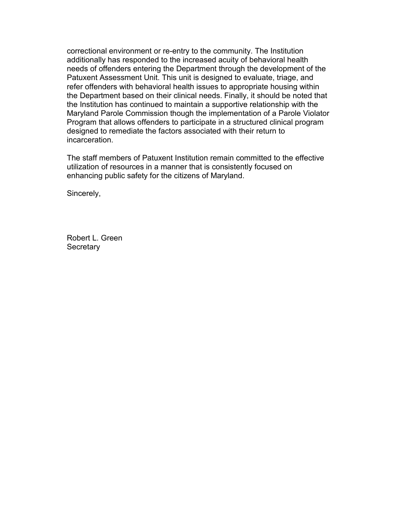correctional environment or re-entry to the community. The Institution additionally has responded to the increased acuity of behavioral health needs of offenders entering the Department through the development of the Patuxent Assessment Unit. This unit is designed to evaluate, triage, and refer offenders with behavioral health issues to appropriate housing within the Department based on their clinical needs. Finally, it should be noted that the Institution has continued to maintain a supportive relationship with the Maryland Parole Commission though the implementation of a Parole Violator Program that allows offenders to participate in a structured clinical program designed to remediate the factors associated with their return to incarceration.

The staff members of Patuxent Institution remain committed to the effective utilization of resources in a manner that is consistently focused on enhancing public safety for the citizens of Maryland.

Sincerely,

Robert L. Green **Secretary**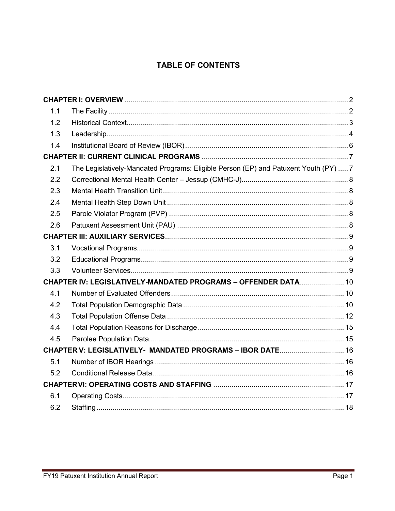# **TABLE OF CONTENTS**

| 1.1 |                                                                                      |  |
|-----|--------------------------------------------------------------------------------------|--|
| 1.2 |                                                                                      |  |
| 1.3 |                                                                                      |  |
| 1.4 |                                                                                      |  |
|     |                                                                                      |  |
| 2.1 | The Legislatively-Mandated Programs: Eligible Person (EP) and Patuxent Youth (PY)  7 |  |
| 2.2 |                                                                                      |  |
| 2.3 |                                                                                      |  |
| 2.4 |                                                                                      |  |
| 2.5 |                                                                                      |  |
| 2.6 |                                                                                      |  |
|     |                                                                                      |  |
| 3.1 |                                                                                      |  |
| 3.2 |                                                                                      |  |
| 3.3 |                                                                                      |  |
|     | CHAPTER IV: LEGISLATIVELY-MANDATED PROGRAMS - OFFENDER DATA 10                       |  |
| 4.1 |                                                                                      |  |
| 4.2 |                                                                                      |  |
| 4.3 |                                                                                      |  |
| 4.4 |                                                                                      |  |
| 4.5 |                                                                                      |  |
|     | CHAPTER V: LEGISLATIVELY- MANDATED PROGRAMS - IBOR DATE 16                           |  |
| 5.1 |                                                                                      |  |
| 5.2 |                                                                                      |  |
|     |                                                                                      |  |
| 6.1 |                                                                                      |  |
| 6.2 |                                                                                      |  |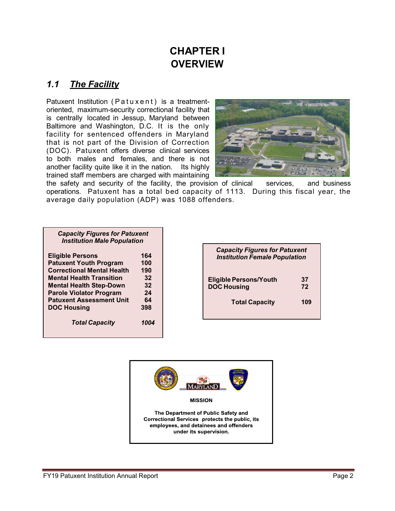# **CHAPTER I OVERVIEW**

### <span id="page-4-1"></span><span id="page-4-0"></span>*1.1 The Facility*

Patuxent Institution (Patuxent) is a treatmentoriented, maximum-security correctional facility that is centrally located in Jessup, Maryland between Baltimore and Washington, D.C. It is the only facility for sentenced offenders in Maryland that is not part of the Division of Correction (DOC). Patuxent offers diverse clinical services to both males and females, and there is not another facility quite like it in the nation. Its highly trained staff members are charged with maintaining



the safety and security of the facility, the provision of clinical services, and business operations. Patuxent has a total bed capacity of 1113. During this fiscal year, the average daily population (ADP) was 1088 offenders.

| <b>Capacity Figures for Patuxent</b><br><b>Institution Male Population</b> |      |
|----------------------------------------------------------------------------|------|
| <b>Eligible Persons</b>                                                    | 164  |
| <b>Patuxent Youth Program</b>                                              | 100  |
| <b>Correctional Mental Health</b>                                          | 190  |
| <b>Mental Health Transition</b>                                            | 32   |
| <b>Mental Health Step-Down</b>                                             | 32   |
| <b>Parole Violator Program</b>                                             | 24   |
| <b>Patuxent Assessment Unit</b>                                            | 64   |
| <b>DOC Housing</b>                                                         | 398  |
| <b>Total Capacity</b>                                                      | 1004 |

| <b>Capacity Figures for Patuxent</b><br><b>Institution Female Population</b> |          |  |  |  |  |
|------------------------------------------------------------------------------|----------|--|--|--|--|
| <b>Eligible Persons/Youth</b><br><b>DOC Housing</b>                          | 37<br>72 |  |  |  |  |
| <b>Total Capacity</b>                                                        | 109      |  |  |  |  |

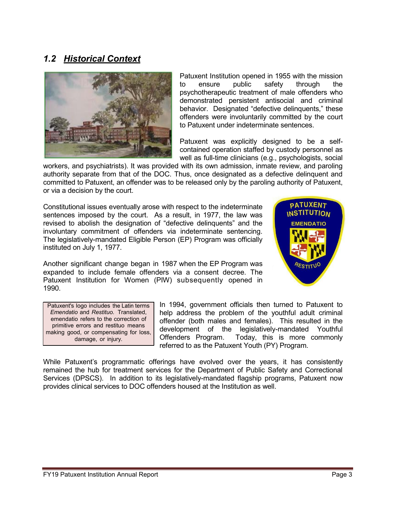### <span id="page-5-0"></span>*1.2 Historical Context*



Patuxent Institution opened in 1955 with the mission to ensure public safety through the psychotherapeutic treatment of male offenders who demonstrated persistent antisocial and criminal behavior. Designated "defective delinquents," these offenders were involuntarily committed by the court to Patuxent under indeterminate sentences.

Patuxent was explicitly designed to be a selfcontained operation staffed by custody personnel as well as full-time clinicians (e.g., psychologists, social

workers, and psychiatrists). It was provided with its own admission, inmate review, and paroling authority separate from that of the DOC. Thus, once designated as a defective delinquent and committed to Patuxent, an offender was to be released only by the paroling authority of Patuxent, or via a decision by the court.

Constitutional issues eventually arose with respect to the indeterminate sentences imposed by the court. As a result, in 1977, the law was revised to abolish the designation of "defective delinquents" and the involuntary commitment of offenders via indeterminate sentencing. The legislatively-mandated Eligible Person (EP) Program was officially instituted on July 1, 1977.

Another significant change began in 1987 when the EP Program was expanded to include female offenders via a consent decree. The Patuxent Institution for Women (PIW) subsequently opened in 1990.



Patuxent's logo includes the Latin terms *Emendatio* and *Restituo.* Translated, emendatio refers to the correction of primitive errors and restituo means making good, or compensating for loss, damage, or injury.

In 1994, government officials then turned to Patuxent to help address the problem of the youthful adult criminal offender (both males and females). This resulted in the development of the legislatively-mandated Youthful Offenders Program. Today, this is more commonly referred to as the Patuxent Youth (PY) Program.

While Patuxent's programmatic offerings have evolved over the years, it has consistently remained the hub for treatment services for the Department of Public Safety and Correctional Services (DPSCS). In addition to its legislatively-mandated flagship programs, Patuxent now provides clinical services to DOC offenders housed at the Institution as well.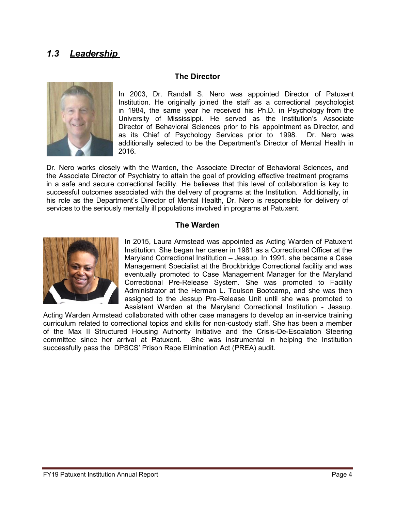## <span id="page-6-0"></span>*1.3 Leadership*

#### **The Director**



In 2003, Dr. Randall S. Nero was appointed Director of Patuxent Institution. He originally joined the staff as a correctional psychologist in 1984, the same year he received his Ph.D. in Psychology from the University of Mississippi. He served as the Institution's Associate Director of Behavioral Sciences prior to his appointment as Director, and as its Chief of Psychology Services prior to 1998. Dr. Nero was additionally selected to be the Department's Director of Mental Health in 2016.

Dr. Nero works closely with the Warden, the Associate Director of Behavioral Sciences, and the Associate Director of Psychiatry to attain the goal of providing effective treatment programs in a safe and secure correctional facility. He believes that this level of collaboration is key to successful outcomes associated with the delivery of programs at the Institution. Additionally, in his role as the Department's Director of Mental Health, Dr. Nero is responsible for delivery of services to the seriously mentally ill populations involved in programs at Patuxent.

#### **The Warden**



In 2015, Laura Armstead was appointed as Acting Warden of Patuxent Institution. She began her career in 1981 as a Correctional Officer at the Maryland Correctional Institution – Jessup. In 1991, she became a Case Management Specialist at the Brockbridge Correctional facility and was eventually promoted to Case Management Manager for the Maryland Correctional Pre-Release System. She was promoted to Facility Administrator at the Herman L. Toulson Bootcamp, and she was then assigned to the Jessup Pre-Release Unit until she was promoted to Assistant Warden at the Maryland Correctional Institution - Jessup.

Acting Warden Armstead collaborated with other case managers to develop an in-service training curriculum related to correctional topics and skills for non-custody staff. She has been a member of the Max II Structured Housing Authority Initiative and the Crisis-De-Escalation Steering committee since her arrival at Patuxent. She was instrumental in helping the Institution successfully pass the DPSCS' Prison Rape Elimination Act (PREA) audit.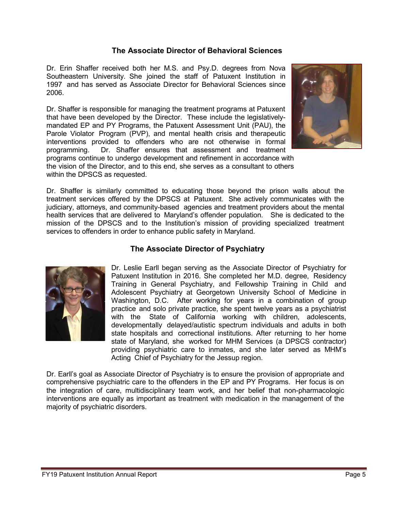#### **The Associate Director of Behavioral Sciences**

Dr. Erin Shaffer received both her M.S. and Psy.D. degrees from Nova Southeastern University. She joined the staff of Patuxent Institution in 1997 and has served as Associate Director for Behavioral Sciences since 2006.

Dr. Shaffer is responsible for managing the treatment programs at Patuxent that have been developed by the Director. These include the legislativelymandated EP and PY Programs, the Patuxent Assessment Unit (PAU), the Parole Violator Program (PVP), and mental health crisis and therapeutic interventions provided to offenders who are not otherwise in formal programming. Dr. Shaffer ensures that assessment and treatment programs continue to undergo development and refinement in accordance with the vision of the Director, and to this end, she serves as a consultant to others within the DPSCS as requested.



Dr. Shaffer is similarly committed to educating those beyond the prison walls about the treatment services offered by the DPSCS at Patuxent. She actively communicates with the judiciary, attorneys, and community-based agencies and treatment providers about the mental health services that are delivered to Maryland's offender population. She is dedicated to the mission of the DPSCS and to the Institution's mission of providing specialized treatment services to offenders in order to enhance public safety in Maryland.

#### **The Associate Director of Psychiatry**



Dr. Leslie Earll began serving as the Associate Director of Psychiatry for Patuxent Institution in 2016. She completed her M.D. degree, Residency Training in General Psychiatry, and Fellowship Training in Child and Adolescent Psychiatry at Georgetown University School of Medicine in Washington, D.C. After working for years in a combination of group practice and solo private practice, she spent twelve years as a psychiatrist with the State of California working with children, adolescents, developmentally delayed/autistic spectrum individuals and adults in both state hospitals and correctional institutions. After returning to her home state of Maryland, she worked for MHM Services (a DPSCS contractor) providing psychiatric care to inmates, and she later served as MHM's Acting Chief of Psychiatry for the Jessup region.

Dr. Earll's goal as Associate Director of Psychiatry is to ensure the provision of appropriate and comprehensive psychiatric care to the offenders in the EP and PY Programs. Her focus is on the integration of care, multidisciplinary team work, and her belief that non-pharmacologic interventions are equally as important as treatment with medication in the management of the majority of psychiatric disorders.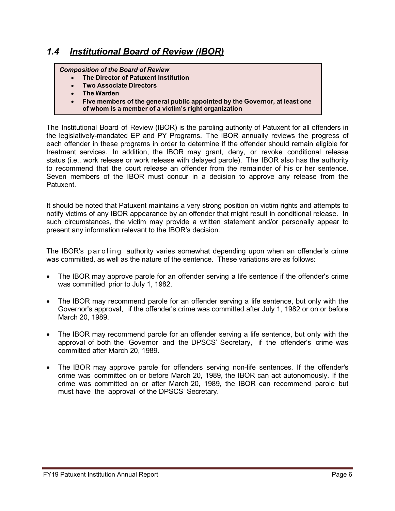#### <span id="page-8-0"></span>*Composition of the Board of Review*

- $\bullet$ **The Director of Patuxent Institution**
- **Two Associate Directors**
- **The Warden**
- **Five members of the general public appointed by the Governor, at least one of whom is a member of a victim's right organization**

The Institutional Board of Review (IBOR) is the paroling authority of Patuxent for all offenders in the legislatively-mandated EP and PY Programs. The IBOR annually reviews the progress of each offender in these programs in order to determine if the offender should remain eligible for treatment services. In addition, the IBOR may grant, deny, or revoke conditional release status (i.e., work release or work release with delayed parole). The IBOR also has the authority to recommend that the court release an offender from the remainder of his or her sentence. Seven members of the IBOR must concur in a decision to approve any release from the Patuxent.

It should be noted that Patuxent maintains a very strong position on victim rights and attempts to notify victims of any IBOR appearance by an offender that might result in conditional release. In such circumstances, the victim may provide a written statement and/or personally appear to present any information relevant to the IBOR's decision.

The IBOR's paroling authority varies somewhat depending upon when an offender's crime was committed, as well as the nature of the sentence. These variations are as follows:

- The IBOR may approve parole for an offender serving a life sentence if the offender's crime was committed prior to July 1, 1982.
- The IBOR may recommend parole for an offender serving a life sentence, but only with the Governor's approval, if the offender's crime was committed after July 1, 1982 or on or before March 20, 1989.
- The IBOR may recommend parole for an offender serving a life sentence, but only with the approval of both the Governor and the DPSCS' Secretary, if the offender's crime was committed after March 20, 1989.
- The IBOR may approve parole for offenders serving non-life sentences. If the offender's crime was committed on or before March 20, 1989, the IBOR can act autonomously. If the crime was committed on or after March 20, 1989, the IBOR can recommend parole but must have the approval of the DPSCS' Secretary.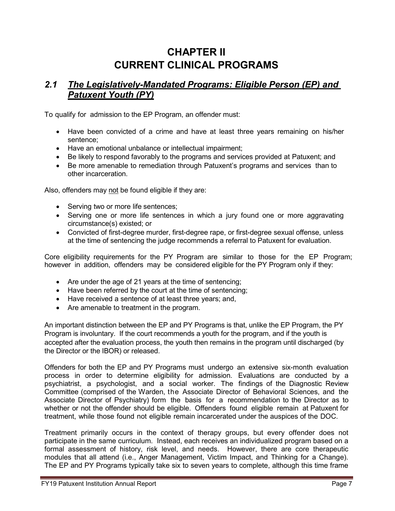# **CHAPTER II CURRENT CLINICAL PROGRAMS**

## <span id="page-9-1"></span><span id="page-9-0"></span>*2.1 The Legislatively-Mandated Programs: Eligible Person (EP) and Patuxent Youth (PY)*

To qualify for admission to the EP Program, an offender must:

- Have been convicted of a crime and have at least three years remaining on his/her sentence;
- Have an emotional unbalance or intellectual impairment;
- Be likely to respond favorably to the programs and services provided at Patuxent; and
- Be more amenable to remediation through Patuxent's programs and services than to other incarceration.

Also, offenders may not be found eligible if they are:

- Serving two or more life sentences;
- Serving one or more life sentences in which a jury found one or more aggravating circumstance(s) existed; or
- Convicted of first-degree murder, first-degree rape, or first-degree sexual offense, unless at the time of sentencing the judge recommends a referral to Patuxent for evaluation.

Core eligibility requirements for the PY Program are similar to those for the EP Program; however in addition, offenders may be considered eligible for the PY Program only if they:

- Are under the age of 21 years at the time of sentencing;
- Have been referred by the court at the time of sentencing;
- Have received a sentence of at least three years; and,
- Are amenable to treatment in the program.

An important distinction between the EP and PY Programs is that, unlike the EP Program, the PY Program is involuntary. If the court recommends a youth for the program, and if the youth is accepted after the evaluation process, the youth then remains in the program until discharged (by the Director or the IBOR) or released.

Offenders for both the EP and PY Programs must undergo an extensive six-month evaluation process in order to determine eligibility for admission. Evaluations are conducted by a psychiatrist, a psychologist, and a social worker. The findings of the Diagnostic Review Committee (comprised of the Warden, the Associate Director of Behavioral Sciences, and the Associate Director of Psychiatry) form the basis for a recommendation to the Director as to whether or not the offender should be eligible. Offenders found eligible remain at Patuxent for treatment, while those found not eligible remain incarcerated under the auspices of the DOC.

Treatment primarily occurs in the context of therapy groups, but every offender does not participate in the same curriculum. Instead, each receives an individualized program based on a formal assessment of history, risk level, and needs. However, there are core therapeutic modules that all attend (i.e., Anger Management, Victim Impact, and Thinking for a Change). The EP and PY Programs typically take six to seven years to complete, although this time frame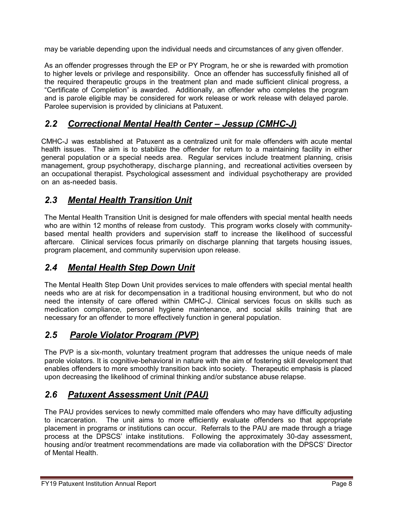may be variable depending upon the individual needs and circumstances of any given offender.

As an offender progresses through the EP or PY Program, he or she is rewarded with promotion to higher levels or privilege and responsibility. Once an offender has successfully finished all of the required therapeutic groups in the treatment plan and made sufficient clinical progress, a "Certificate of Completion" is awarded. Additionally, an offender who completes the program and is parole eligible may be considered for work release or work release with delayed parole. Parolee supervision is provided by clinicians at Patuxent.

# <span id="page-10-0"></span>*2.2 Correctional Mental Health Center – Jessup (CMHC-J)*

CMHC-J was established at Patuxent as a centralized unit for male offenders with acute mental health issues. The aim is to stabilize the offender for return to a maintaining facility in either general population or a special needs area. Regular services include treatment planning, crisis management, group psychotherapy, discharge planning, and recreational activities overseen by an occupational therapist. Psychological assessment and individual psychotherapy are provided on an as-needed basis.

# <span id="page-10-1"></span>*2.3 Mental Health Transition Unit*

The Mental Health Transition Unit is designed for male offenders with special mental health needs who are within 12 months of release from custody. This program works closely with communitybased mental health providers and supervision staff to increase the likelihood of successful aftercare. Clinical services focus primarily on discharge planning that targets housing issues, program placement, and community supervision upon release.

# <span id="page-10-2"></span>*2.4 Mental Health Step Down Unit*

The Mental Health Step Down Unit provides services to male offenders with special mental health needs who are at risk for decompensation in a traditional housing environment, but who do not need the intensity of care offered within CMHC-J. Clinical services focus on skills such as medication compliance, personal hygiene maintenance, and social skills training that are necessary for an offender to more effectively function in general population.

# <span id="page-10-3"></span>*2.5 Parole Violator Program (PVP)*

The PVP is a six-month, voluntary treatment program that addresses the unique needs of male parole violators. It is cognitive-behavioral in nature with the aim of fostering skill development that enables offenders to more smoothly transition back into society. Therapeutic emphasis is placed upon decreasing the likelihood of criminal thinking and/or substance abuse relapse.

# <span id="page-10-4"></span>*2.6 Patuxent Assessment Unit (PAU)*

The PAU provides services to newly committed male offenders who may have difficulty adjusting to incarceration. The unit aims to more efficiently evaluate offenders so that appropriate placement in programs or institutions can occur. Referrals to the PAU are made through a triage process at the DPSCS' intake institutions. Following the approximately 30-day assessment, housing and/or treatment recommendations are made via collaboration with the DPSCS' Director of Mental Health.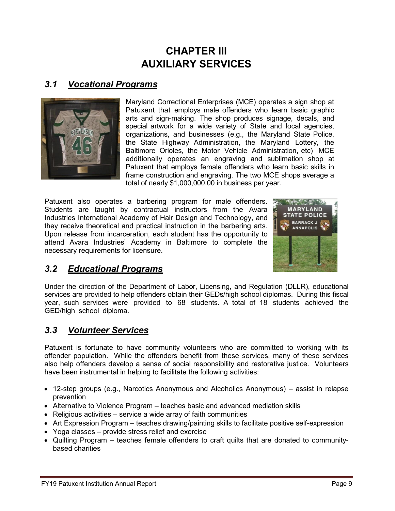# **CHAPTER III AUXILIARY SERVICES**

### <span id="page-11-1"></span><span id="page-11-0"></span>*3.1 Vocational Programs*



Maryland Correctional Enterprises (MCE) operates a sign shop at Patuxent that employs male offenders who learn basic graphic arts and sign-making. The shop produces signage, decals, and special artwork for a wide variety of State and local agencies, organizations, and businesses (e.g., the Maryland State Police, the State Highway Administration, the Maryland Lottery, the Baltimore Orioles, the Motor Vehicle Administration, etc) MCE additionally operates an engraving and sublimation shop at Patuxent that employs female offenders who learn basic skills in frame construction and engraving. The two MCE shops average a total of nearly \$1,000,000.00 in business per year.

Patuxent also operates a barbering program for male offenders. Students are taught by contractual instructors from the Avara Industries International Academy of Hair Design and Technology, and they receive theoretical and practical instruction in the barbering arts. Upon release from incarceration, each student has the opportunity to attend Avara Industries' Academy in Baltimore to complete the necessary requirements for licensure.



# <span id="page-11-2"></span>*3.2 Educational Programs*

Under the direction of the Department of Labor, Licensing, and Regulation (DLLR), educational services are provided to help offenders obtain their GEDs/high school diplomas. During this fiscal year, such services were provided to 68 students. A total of 18 students achieved the GED/high school diploma.

### <span id="page-11-3"></span>*3.3 Volunteer Services*

Patuxent is fortunate to have community volunteers who are committed to working with its offender population. While the offenders benefit from these services, many of these services also help offenders develop a sense of social responsibility and restorative justice. Volunteers have been instrumental in helping to facilitate the following activities:

- 12-step groups (e.g., Narcotics Anonymous and Alcoholics Anonymous) assist in relapse prevention
- Alternative to Violence Program teaches basic and advanced mediation skills
- Religious activities service a wide array of faith communities
- Art Expression Program teaches drawing/painting skills to facilitate positive self-expression
- Yoga classes provide stress relief and exercise
- Quilting Program teaches female offenders to craft quilts that are donated to communitybased charities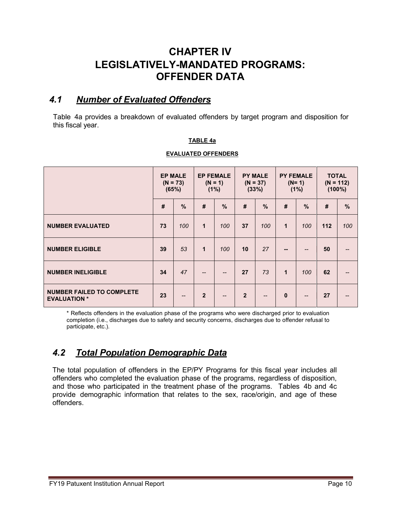# <span id="page-12-0"></span>**CHAPTER IV LEGISLATIVELY-MANDATED PROGRAMS: OFFENDER DATA**

### <span id="page-12-1"></span>*4.1 Number of Evaluated Offenders*

Table 4a provides a breakdown of evaluated offenders by target program and disposition for this fiscal year.

#### **TABLE 4a**

#### **EVALUATED OFFENDERS**

|                                                         | <b>EP MALE</b><br>$(N = 73)$<br>(65%) |                          | <b>EP FEMALE</b><br>$(N = 1)$<br>(1%) |               | <b>PY MALE</b><br>$(N = 37)$<br>(33%) |               | <b>PY FEMALE</b><br>$(N=1)$<br>(1%) |               | <b>TOTAL</b><br>$(N = 112)$<br>$(100\%)$ |     |
|---------------------------------------------------------|---------------------------------------|--------------------------|---------------------------------------|---------------|---------------------------------------|---------------|-------------------------------------|---------------|------------------------------------------|-----|
|                                                         | #                                     | %                        | #                                     | $\frac{0}{0}$ | #                                     | $\frac{0}{0}$ | #                                   | $\frac{9}{6}$ | #                                        | %   |
| <b>NUMBER EVALUATED</b>                                 | 73                                    | 100                      | $\mathbf 1$                           | 100           | 37                                    | 100           | 1                                   | 100           | 112                                      | 100 |
| <b>NUMBER ELIGIBLE</b>                                  | 39                                    | 53                       | $\mathbf{1}$                          | 100           | 10                                    | 27            | --                                  | $- -$         | 50                                       |     |
| <b>NUMBER INELIGIBLE</b>                                | 34                                    | 47                       | $- -$                                 | $-$           | 27                                    | 73            | 1                                   | 100           | 62                                       |     |
| <b>NUMBER FAILED TO COMPLETE</b><br><b>EVALUATION *</b> | 23                                    | $\qquad \qquad \qquad -$ | $\overline{2}$                        | $- -$         | $\overline{2}$                        | $- -$         | $\mathbf{0}$                        | $-$           | 27                                       |     |

\* Reflects offenders in the evaluation phase of the programs who were discharged prior to evaluation completion (i.e., discharges due to safety and security concerns, discharges due to offender refusal to participate, etc.).

### <span id="page-12-2"></span>*4.2 Total Population Demographic Data*

The total population of offenders in the EP/PY Programs for this fiscal year includes all offenders who completed the evaluation phase of the programs, regardless of disposition, and those who participated in the treatment phase of the programs. Tables 4b and 4c provide demographic information that relates to the sex, race/origin, and age of these offenders.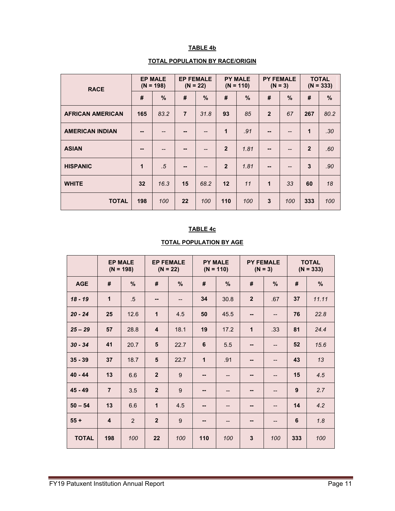#### **TABLE 4b**

#### **TOTAL POPULATION BY RACE/ORIGIN**

| <b>RACE</b>             | <b>EP MALE</b><br>$(N = 198)$ |      | <b>EP FEMALE</b><br>$(N = 22)$ |               | <b>PY MALE</b><br>$(N = 110)$ |      | <b>PY FEMALE</b><br>$(N = 3)$ |               | <b>TOTAL</b><br>$(N = 333)$ |                  |
|-------------------------|-------------------------------|------|--------------------------------|---------------|-------------------------------|------|-------------------------------|---------------|-----------------------------|------------------|
|                         | #                             | %    | #                              | $\frac{9}{6}$ | #                             | %    | #                             | $\frac{9}{6}$ | #                           | %                |
| <b>AFRICAN AMERICAN</b> | 165                           | 83.2 | $\overline{7}$                 | 31.8          | 93                            | 85   | $\overline{2}$                | 67            | 267                         | 80.2             |
| <b>AMERICAN INDIAN</b>  |                               |      |                                | --            | 1                             | .91  | --                            | --            | $\mathbf{1}$                | .30 <sub>2</sub> |
| <b>ASIAN</b>            | --                            | --   | --                             | --            | $\overline{2}$                | 1.81 | --                            | --            | $\overline{2}$              | .60              |
| <b>HISPANIC</b>         | 1                             | .5   | --                             | $-$           | $\overline{2}$                | 1.81 | --                            | --            | $\mathbf{3}$                | .90              |
| <b>WHITE</b>            | 32                            | 16.3 | 15                             | 68.2          | 12                            | 11   | $\overline{1}$                | 33            | 60                          | 18               |
| <b>TOTAL</b>            | 198                           | 100  | 22                             | 100           | 110                           | 100  | 3                             | 100           | 333                         | 100              |

#### **TABLE 4c**

|              |                         | <b>EP MALE</b><br>$(N = 198)$ | <b>EP FEMALE</b><br>$(N = 22)$ |                   | <b>PY MALE</b><br>$(N = 110)$<br>$(N = 3)$ |                          | <b>PY FEMALE</b> |     |     | <b>TOTAL</b><br>$(N = 333)$ |
|--------------|-------------------------|-------------------------------|--------------------------------|-------------------|--------------------------------------------|--------------------------|------------------|-----|-----|-----------------------------|
| <b>AGE</b>   | #                       | %                             | #                              | $\%$              | #                                          | %                        | #                | %   | #   | %                           |
| $18 - 19$    | $\mathbf{1}$            | $.5\,$                        | --                             | $\qquad \qquad -$ | 34                                         | 30.8                     | $\overline{2}$   | .67 | 37  | 11.11                       |
| $20 - 24$    | 25                      | 12.6                          | 1                              | 4.5               | 50                                         | 45.5                     | --               | --  | 76  | 22.8                        |
| $25 - 29$    | 57                      | 28.8                          | $\overline{\mathbf{4}}$        | 18.1              | 19                                         | 17.2                     | 1                | .33 | 81  | 24.4                        |
| $30 - 34$    | 41                      | 20.7                          | 5                              | 22.7              | 6                                          | 5.5                      | --               | --  | 52  | 15.6                        |
| $35 - 39$    | 37                      | 18.7                          | 5                              | 22.7              | $\mathbf{1}$                               | .91                      | --               |     | 43  | 13                          |
| $40 - 44$    | 13                      | 6.6                           | $\overline{2}$                 | 9                 | --                                         | $-$                      | --               | --  | 15  | 4.5                         |
| $45 - 49$    | $\overline{7}$          | 3.5                           | $\overline{2}$                 | 9                 | --                                         | --                       | --               | --  | 9   | 2.7                         |
| $50 - 54$    | 13                      | 6.6                           | $\mathbf{1}$                   | 4.5               | --                                         | --                       | --               | --  | 14  | 4.2                         |
| $55+$        | $\overline{\mathbf{4}}$ | 2                             | $\overline{2}$                 | 9                 | --                                         | $\overline{\phantom{a}}$ | --               | --  | 6   | 1.8                         |
| <b>TOTAL</b> | 198                     | 100                           | 22                             | 100               | 110                                        | 100                      | $\mathbf{3}$     | 100 | 333 | 100                         |

#### **TOTAL POPULATION BY AGE**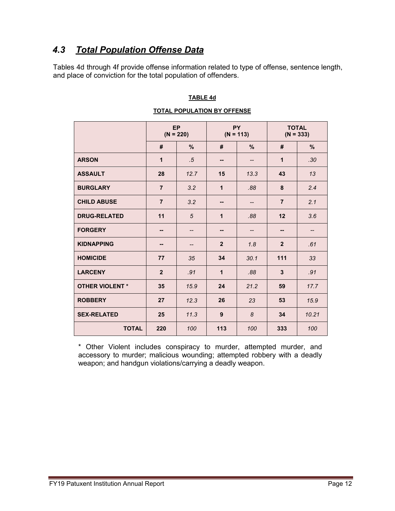# <span id="page-14-0"></span>*4.3 Total Population Offense Data*

Tables 4d through 4f provide offense information related to type of offense, sentence length, and place of conviction for the total population of offenders.

#### **TABLE 4d**

|                        |                | <b>EP</b><br>$(N = 220)$ | $(N = 113)$    | <b>PY</b>         | <b>TOTAL</b><br>$(N = 333)$ |       |  |
|------------------------|----------------|--------------------------|----------------|-------------------|-----------------------------|-------|--|
|                        | #              | %                        | #              | %                 | #                           | %     |  |
| <b>ARSON</b>           | 1              | $.5\,$                   | --             | --                | $\mathbf{1}$                | .30   |  |
| <b>ASSAULT</b>         | 28             | 12.7                     | 15             | 13.3              | 43                          | 13    |  |
| <b>BURGLARY</b>        | $\overline{7}$ | 3.2                      | $\mathbf{1}$   | .88               | 8                           | 2.4   |  |
| <b>CHILD ABUSE</b>     | $\overline{7}$ | 3.2                      | --             | --                | $\overline{7}$              | 2.1   |  |
| <b>DRUG-RELATED</b>    | 11             | 5                        | 1              | .88               | 12                          | 3.6   |  |
| <b>FORGERY</b>         | --             | --                       | --             | $\qquad \qquad -$ | --                          | --    |  |
| <b>KIDNAPPING</b>      | --             | --                       | $\overline{2}$ | 1.8               | $\overline{2}$              | .61   |  |
| <b>HOMICIDE</b>        | 77             | 35                       | 34             | 30.1              | 111                         | 33    |  |
| <b>LARCENY</b>         | $\overline{2}$ | .91                      | 1              | .88               | 3                           | .91   |  |
| <b>OTHER VIOLENT *</b> | 35             | 15.9                     | 24             | 21.2              | 59                          | 17.7  |  |
| <b>ROBBERY</b>         | 27             | 12.3                     | 26             | 23                | 53                          | 15.9  |  |
| <b>SEX-RELATED</b>     | 25             | 11.3                     | 9              | 8                 | 34                          | 10.21 |  |
| <b>TOTAL</b>           | 220            | 100                      | 113            | 100               | 333                         | 100   |  |

#### **TOTAL POPULATION BY OFFENSE**

\* Other Violent includes conspiracy to murder, attempted murder, and accessory to murder; malicious wounding; attempted robbery with a deadly weapon; and handgun violations/carrying a deadly weapon.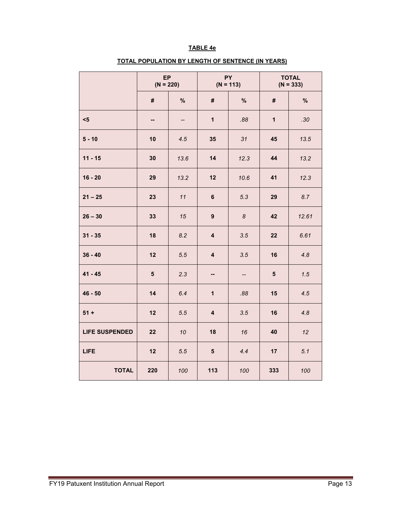#### **TABLE 4e**

## **TOTAL POPULATION BY LENGTH OF SENTENCE (IN YEARS)**

|                       | EP<br>$(N = 220)$ |      |                         | <b>PY</b><br>$(N = 113)$ | <b>TOTAL</b><br>$(N = 333)$ |       |  |
|-----------------------|-------------------|------|-------------------------|--------------------------|-----------------------------|-------|--|
|                       | #                 | %    | $\#$                    | $\%$                     | #                           | $\%$  |  |
| $5$                   | --                | --   | $\mathbf{1}$            | .88                      | $\mathbf{1}$                | .30   |  |
| $5 - 10$              | 10                | 4.5  | 35                      | 31                       | 45                          | 13.5  |  |
| $11 - 15$             | 30                | 13.6 | 14                      | 12.3                     | 44                          | 13.2  |  |
| $16 - 20$             | 29                | 13.2 | 12                      | 10.6                     | 41                          | 12.3  |  |
| $21 - 25$             | 23                | 11   | $6\phantom{a}$          | 5.3                      | 29                          | 8.7   |  |
| $26 - 30$             | 33                | 15   | $\overline{9}$          | $\pmb{8}$                | 42                          | 12.61 |  |
| $31 - 35$             | 18                | 8.2  | $\overline{\mathbf{4}}$ | 3.5                      | 22                          | 6.61  |  |
| $36 - 40$             | 12                | 5.5  | $\overline{\mathbf{4}}$ | 3.5                      | 16                          | 4.8   |  |
| $41 - 45$             | $5\phantom{.0}$   | 2.3  | --                      | --                       | 5                           | 1.5   |  |
| $46 - 50$             | 14                | 6.4  | $\mathbf{1}$            | .88                      | 15                          | 4.5   |  |
| $51 +$                | 12                | 5.5  | $\overline{\mathbf{4}}$ | 3.5                      | 16                          | 4.8   |  |
| <b>LIFE SUSPENDED</b> | 22                | 10   | 18                      | 16                       | 40                          | 12    |  |
| <b>LIFE</b>           | 12                | 5.5  | $5\phantom{.0}$         | 4.4                      | 17                          | 5.1   |  |
| <b>TOTAL</b>          | 220               | 100  | 113                     | 100                      | 333                         | 100   |  |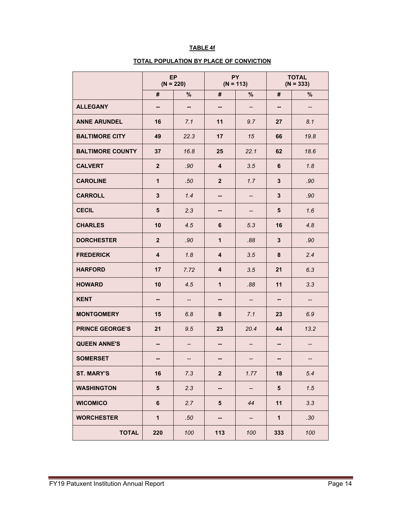#### **TABLE 4f**

#### **TOTAL POPULATION BY PLACE OF CONVICTION**

|                         | EP<br>$(N = 220)$        |                   | $(N = 113)$              | <b>PY</b>         | <b>TOTAL</b><br>$(N = 333)$ |      |  |
|-------------------------|--------------------------|-------------------|--------------------------|-------------------|-----------------------------|------|--|
|                         | #                        | %                 | #                        | $\%$              | #                           | %    |  |
| <b>ALLEGANY</b>         | --                       | --                | --                       | --                | --                          | --   |  |
| <b>ANNE ARUNDEL</b>     | 16                       | 7.1               | 11                       | 9.7               | 27                          | 8.1  |  |
| <b>BALTIMORE CITY</b>   | 49                       | 22.3              | 17                       | 15                | 66                          | 19.8 |  |
| <b>BALTIMORE COUNTY</b> | 37                       | 16.8              | 25                       | 22.1              | 62                          | 18.6 |  |
| <b>CALVERT</b>          | $\overline{2}$           | .90               | 4                        | 3.5               | 6                           | 1.8  |  |
| <b>CAROLINE</b>         | $\mathbf{1}$             | .50               | 2 <sup>2</sup>           | 1.7               | 3                           | .90  |  |
| <b>CARROLL</b>          | $\mathbf{3}$             | 1.4               | --                       | --                | 3                           | .90  |  |
| <b>CECIL</b>            | 5                        | 2.3               | --                       | --                | 5                           | 1.6  |  |
| <b>CHARLES</b>          | 10                       | 4.5               | 6                        | 5.3               | 16                          | 4.8  |  |
| <b>DORCHESTER</b>       | $\overline{2}$           | .90               | $\mathbf{1}$             | .88               | 3                           | .90  |  |
| <b>FREDERICK</b>        | $\overline{\mathbf{4}}$  | 1.8               | 4                        | 3.5               | 8                           | 2.4  |  |
| <b>HARFORD</b>          | 17                       | 7.72              | 4                        | 3.5               | 21                          | 6.3  |  |
| <b>HOWARD</b>           | 10                       | 4.5               | $\mathbf{1}$             | .88               | 11                          | 3.3  |  |
| <b>KENT</b>             | --                       | --                | --                       | --                | --                          | --   |  |
| <b>MONTGOMERY</b>       | 15                       | 6.8               | 8                        | 7.1               | 23                          | 6.9  |  |
| <b>PRINCE GEORGE'S</b>  | 21                       | 9.5               | 23                       | 20.4              | 44                          | 13.2 |  |
| <b>QUEEN ANNE'S</b>     | $\overline{\phantom{a}}$ | $\qquad \qquad -$ | $\overline{\phantom{a}}$ | $\qquad \qquad -$ | --                          | --   |  |
| <b>SOMERSET</b>         |                          |                   |                          |                   |                             |      |  |
| <b>ST. MARY'S</b>       | 16                       | 7.3               | $\mathbf{2}$             | 1.77              | 18                          | 5.4  |  |
| <b>WASHINGTON</b>       | $5\phantom{.0}$          | 2.3               | --                       | --                | ${\bf 5}$                   | 1.5  |  |
| <b>WICOMICO</b>         | $\bf 6$                  | 2.7               | 5                        | 44                | 11                          | 3.3  |  |
| <b>WORCHESTER</b>       | $\mathbf{1}$             | .50               | ۰.                       | --                | $\mathbf{1}$                | .30  |  |
| <b>TOTAL</b>            | 220                      | 100               | 113                      | 100               | 333                         | 100  |  |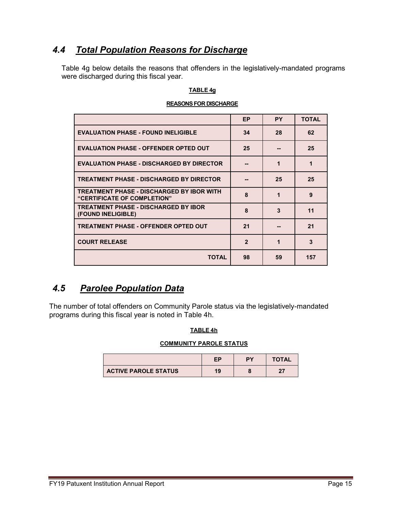## <span id="page-17-0"></span>*4.4 Total Population Reasons for Discharge*

Table 4g below details the reasons that offenders in the legislatively-mandated programs were discharged during this fiscal year.

#### **TABLE 4g**

### **REASONS FOR DISCHARGE**

|                                                                                 | <b>EP</b>    | <b>PY</b> | <b>TOTAL</b> |
|---------------------------------------------------------------------------------|--------------|-----------|--------------|
| <b>EVALUATION PHASE - FOUND INELIGIBLE</b>                                      | 34           | 28        | 62           |
| <b>EVALUATION PHASE - OFFENDER OPTED OUT</b>                                    | 25           |           | 25           |
| <b>EVALUATION PHASE - DISCHARGED BY DIRECTOR</b>                                |              | 1         | 1            |
| <b>TREATMENT PHASE - DISCHARGED BY DIRECTOR</b>                                 |              | 25        | 25           |
| <b>TREATMENT PHASE - DISCHARGED BY IBOR WITH</b><br>"CERTIFICATE OF COMPLETION" | 8            | 1         | 9            |
| <b>TREATMENT PHASE - DISCHARGED BY IBOR</b><br>(FOUND INELIGIBLE)               | 8            | 3         | 11           |
| <b>TREATMENT PHASE - OFFENDER OPTED OUT</b>                                     | 21           |           | 21           |
| <b>COURT RELEASE</b>                                                            | $\mathbf{2}$ | 1         | 3            |
| TOTAL                                                                           | 98           | 59        | 157          |

### <span id="page-17-1"></span>*4.5 Parolee Population Data*

The number of total offenders on Community Parole status via the legislatively-mandated programs during this fiscal year is noted in Table 4h.

#### **TABLE 4h**

#### **COMMUNITY PAROLE STATUS**

|                             | FP | PY | <b>TOTAL</b> |
|-----------------------------|----|----|--------------|
| <b>ACTIVE PAROLE STATUS</b> | 19 |    | n-,          |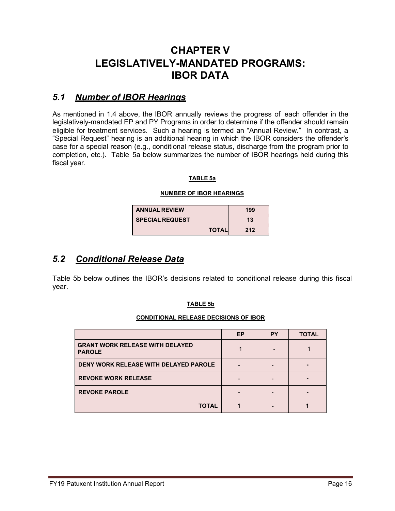# <span id="page-18-0"></span>**CHAPTER V LEGISLATIVELY-MANDATED PROGRAMS: IBOR DATA**

### <span id="page-18-1"></span>*5.1 Number of IBOR Hearings*

As mentioned in 1.4 above, the IBOR annually reviews the progress of each offender in the legislatively-mandated EP and PY Programs in order to determine if the offender should remain eligible for treatment services. Such a hearing is termed an "Annual Review." In contrast, a "Special Request" hearing is an additional hearing in which the IBOR considers the offender's case for a special reason (e.g., conditional release status, discharge from the program prior to completion, etc.). Table 5a below summarizes the number of IBOR hearings held during this fiscal year.

#### **TABLE 5a**

#### **NUMBER OF IBOR HEARINGS**

| <b>ANNUAL REVIEW</b>   | 199 |
|------------------------|-----|
| <b>SPECIAL REQUEST</b> | 13  |
| <b>TOTAL</b>           | 212 |

### <span id="page-18-2"></span>*5.2 Conditional Release Data*

Table 5b below outlines the IBOR's decisions related to conditional release during this fiscal year.

#### **TABLE 5b**

#### **CONDITIONAL RELEASE DECISIONS OF IBOR**

<span id="page-18-3"></span>

|                                                         | <b>EP</b> | <b>PY</b> | <b>TOTAL</b> |
|---------------------------------------------------------|-----------|-----------|--------------|
| <b>GRANT WORK RELEASE WITH DELAYED</b><br><b>PAROLE</b> |           |           |              |
| <b>DENY WORK RELEASE WITH DELAYED PAROLE</b>            |           |           |              |
| <b>REVOKE WORK RELEASE</b>                              |           |           |              |
| <b>REVOKE PAROLE</b>                                    |           |           |              |
| <b>TOTAL</b>                                            |           |           |              |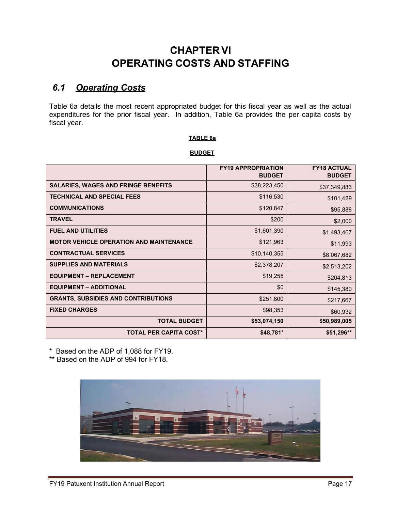# **CHAPTER VI OPERATING COSTS AND STAFFING**

## <span id="page-19-0"></span>*6.1 Operating Costs*

Table 6a details the most recent appropriated budget for this fiscal year as well as the actual expenditures for the prior fiscal year. In addition, Table 6a provides the per capita costs by fiscal year.

#### **TABLE 6a**

#### **BUDGET**

|                                                | <b>FY19 APPROPRIATION</b><br><b>BUDGET</b> | <b>FY18 ACTUAL</b><br><b>BUDGET</b> |
|------------------------------------------------|--------------------------------------------|-------------------------------------|
| <b>SALARIES, WAGES AND FRINGE BENEFITS</b>     | \$38,223,450                               | \$37,349,883                        |
| <b>TECHNICAL AND SPECIAL FEES</b>              | \$116,530                                  | \$101,429                           |
| <b>COMMUNICATIONS</b>                          | \$120,847                                  | \$95,888                            |
| <b>TRAVEL</b>                                  | \$200                                      | \$2,000                             |
| <b>FUEL AND UTILITIES</b>                      | \$1,601,390                                | \$1,493,467                         |
| <b>MOTOR VEHICLE OPERATION AND MAINTENANCE</b> | \$121,963                                  | \$11,993                            |
| <b>CONTRACTUAL SERVICES</b>                    | \$10,140,355                               | \$8,067,682                         |
| <b>SUPPLIES AND MATERIALS</b>                  | \$2,378,207                                | \$2,513,202                         |
| <b>EQUIPMENT - REPLACEMENT</b>                 | \$19,255                                   | \$204,813                           |
| <b>EQUIPMENT - ADDITIONAL</b>                  | \$0                                        | \$145,380                           |
| <b>GRANTS, SUBSIDIES AND CONTRIBUTIONS</b>     | \$251,800                                  | \$217,667                           |
| <b>FIXED CHARGES</b>                           | \$98,353                                   | \$60,932                            |
| <b>TOTAL BUDGET</b>                            | \$53,074,150                               | \$50,989,005                        |
| <b>TOTAL PER CAPITA COST*</b>                  | $$48,781*$                                 | \$51,296**                          |

\* Based on the ADP of 1,088 for FY19.

\*\* Based on the ADP of 994 for FY18.